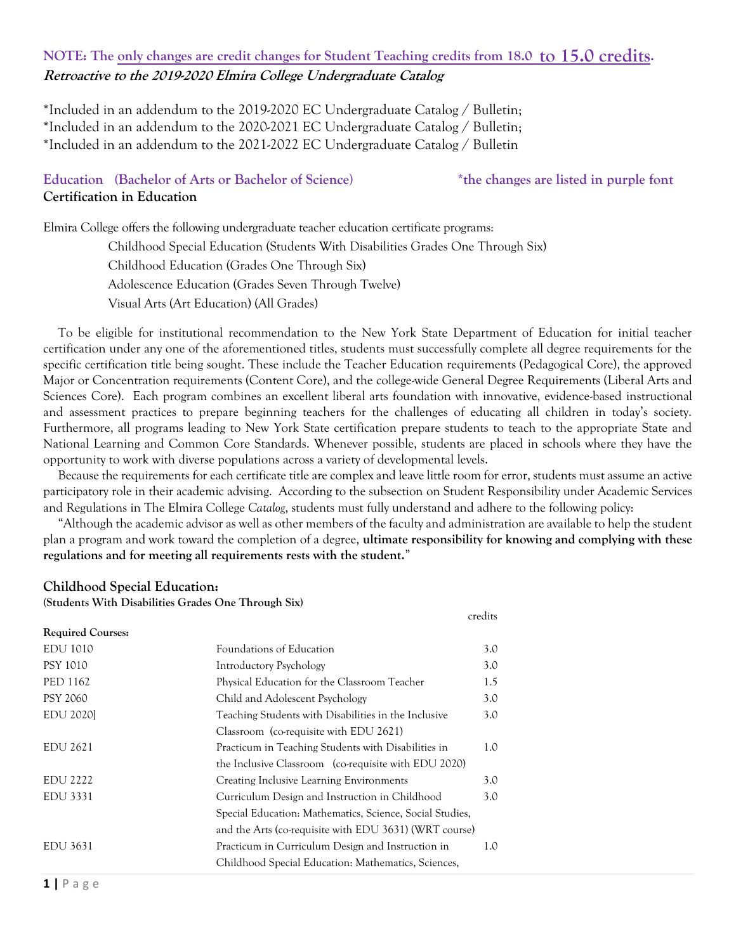# **NOTE: The only changes are credit changes for Student Teaching credits from 18.0 to 15.0 credits. Retroactive to the 2019-2020 Elmira College Undergraduate Catalog**

\*Included in an addendum to the 2019-2020 EC Undergraduate Catalog / Bulletin; \*Included in an addendum to the 2020-2021 EC Undergraduate Catalog / Bulletin; \*Included in an addendum to the 2021-2022 EC Undergraduate Catalog / Bulletin

# **Education (Bachelor of Arts or Bachelor of Science) \*the changes are listed in purple font Certification in Education**

Elmira College offers the following undergraduate teacher education certificate programs:

Childhood Special Education (Students With Disabilities Grades One Through Six) Childhood Education (Grades One Through Six) Adolescence Education (Grades Seven Through Twelve) Visual Arts (Art Education) (All Grades)

To be eligible for institutional recommendation to the New York State Department of Education for initial teacher certification under any one of the aforementioned titles, students must successfully complete all degree requirements for the specific certification title being sought. These include the Teacher Education requirements (Pedagogical Core), the approved Major or Concentration requirements (Content Core), and the college-wide General Degree Requirements (Liberal Arts and Sciences Core). Each program combines an excellent liberal arts foundation with innovative, evidence-based instructional and assessment practices to prepare beginning teachers for the challenges of educating all children in today's society. Furthermore, all programs leading to New York State certification prepare students to teach to the appropriate State and National Learning and Common Core Standards. Whenever possible, students are placed in schools where they have the opportunity to work with diverse populations across a variety of developmental levels.

Because the requirements for each certificate title are complex and leave little room for error, students must assume an active participatory role in their academic advising. According to the subsection on Student Responsibility under Academic Services and Regulations in The Elmira College *Catalog*, students must fully understand and adhere to the following policy:

"Although the academic advisor as well as other members of the faculty and administration are available to help the student plan a program and work toward the completion of a degree, **ultimate responsibility for knowing and complying with these regulations and for meeting all requirements rests with the student.**"

credits

## **Childhood Special Education:**

**(Students With Disabilities Grades One Through Six)**

| <b>Required Courses:</b> |                                                          |     |
|--------------------------|----------------------------------------------------------|-----|
| EDU 1010                 | Foundations of Education                                 | 3.0 |
| <b>PSY 1010</b>          | <b>Introductory Psychology</b>                           | 3.0 |
| PED 1162                 | Physical Education for the Classroom Teacher             | 1.5 |
| <b>PSY 2060</b>          | Child and Adolescent Psychology                          | 3.0 |
| <b>EDU 2020</b>          | Teaching Students with Disabilities in the Inclusive     | 3.0 |
|                          | Classroom (co-requisite with EDU 2621)                   |     |
| EDU 2621                 | Practicum in Teaching Students with Disabilities in      | 1.0 |
|                          | the Inclusive Classroom (co-requisite with EDU 2020)     |     |
| <b>EDU 2222</b>          | Creating Inclusive Learning Environments                 | 3.0 |
| EDU 3331                 | Curriculum Design and Instruction in Childhood           | 3.0 |
|                          | Special Education: Mathematics, Science, Social Studies, |     |
|                          | and the Arts (co-requisite with EDU 3631) (WRT course)   |     |
| EDU 3631                 | Practicum in Curriculum Design and Instruction in        | 1.0 |
|                          | Childhood Special Education: Mathematics, Sciences,      |     |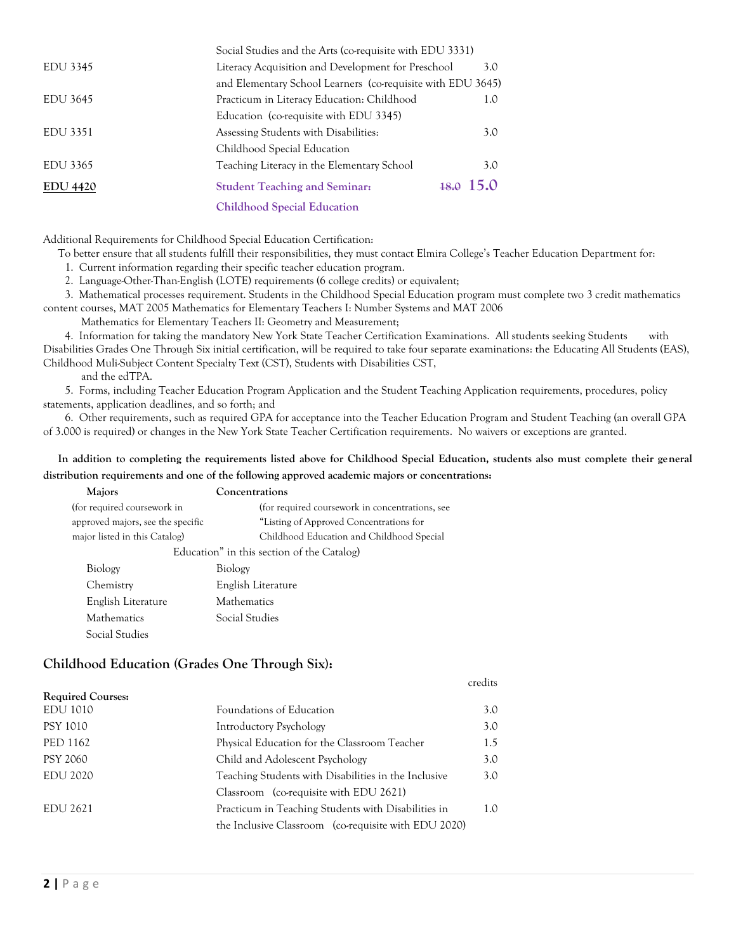|                 | Social Studies and the Arts (co-requisite with EDU 3331)    |             |
|-----------------|-------------------------------------------------------------|-------------|
| EDU 3345        | Literacy Acquisition and Development for Preschool          | 3.0         |
|                 | and Elementary School Learners (co-requisite with EDU 3645) |             |
| EDU 3645        | Practicum in Literacy Education: Childhood                  | 1.0         |
|                 | Education (co-requisite with EDU 3345)                      |             |
| EDU 3351        | Assessing Students with Disabilities:                       | 3.0         |
|                 | Childhood Special Education                                 |             |
| EDU 3365        | Teaching Literacy in the Elementary School                  | 3.0         |
| <b>EDU 4420</b> | <b>Student Teaching and Seminar:</b>                        | $18.0$ 15.0 |
|                 | <b>Childhood Special Education</b>                          |             |
|                 |                                                             |             |

Additional Requirements for Childhood Special Education Certification:

To better ensure that all students fulfill their responsibilities, they must contact Elmira College's Teacher Education Department for:

1. Current information regarding their specific teacher education program.

2. Language-Other-Than-English (LOTE) requirements (6 college credits) or equivalent;

3. Mathematical processes requirement. Students in the Childhood Special Education program must complete two 3 credit mathematics content courses, MAT 2005 Mathematics for Elementary Teachers I: Number Systems and MAT 2006

Mathematics for Elementary Teachers II: Geometry and Measurement;

4. Information for taking the mandatory New York State Teacher Certification Examinations. All students seeking Students with Disabilities Grades One Through Six initial certification, will be required to take four separate examinations: the Educating All Students (EAS), Childhood Muli-Subject Content Specialty Text (CST), Students with Disabilities CST,

and the edTPA.

5. Forms, including Teacher Education Program Application and the Student Teaching Application requirements, procedures, policy statements, application deadlines, and so forth; and

6. Other requirements, such as required GPA for acceptance into the Teacher Education Program and Student Teaching (an overall GPA of 3.000 is required) or changes in the New York State Teacher Certification requirements. No waivers or exceptions are granted.

### **In addition to completing the requirements listed above for Childhood Special Education, students also must complete their general distribution requirements and one of the following approved academic majors or concentrations:**

| Majors                            | Concentrations                                  |
|-----------------------------------|-------------------------------------------------|
| (for required coursework in       | (for required coursework in concentrations, see |
| approved majors, see the specific | "Listing of Approved Concentrations for         |
| major listed in this Catalog)     | Childhood Education and Childhood Special       |
|                                   | Education" in this section of the Catalog)      |
| Biology                           | Biology                                         |
| Chemistry                         | English Literature                              |
| English Literature                | <b>Mathematics</b>                              |
| <b>Mathematics</b>                | Social Studies                                  |
| Social Studies                    |                                                 |

## **Childhood Education (Grades One Through Six):**

credits

| $\ldots$ and $\ldots$ |                                                      |     |
|-----------------------|------------------------------------------------------|-----|
| EDU 1010              | Foundations of Education                             | 3.0 |
| PSY 1010              | Introductory Psychology                              | 3.0 |
| PED 1162              | Physical Education for the Classroom Teacher         | 1.5 |
| <b>PSY 2060</b>       | Child and Adolescent Psychology                      | 3.0 |
| <b>EDU 2020</b>       | Teaching Students with Disabilities in the Inclusive | 3.0 |
|                       | Classroom (co-requisite with EDU 2621)               |     |
| EDU 2621              | Practicum in Teaching Students with Disabilities in  | 1.0 |
|                       | the Inclusive Classroom (co-requisite with EDU 2020) |     |
|                       |                                                      |     |

**Required Courses:**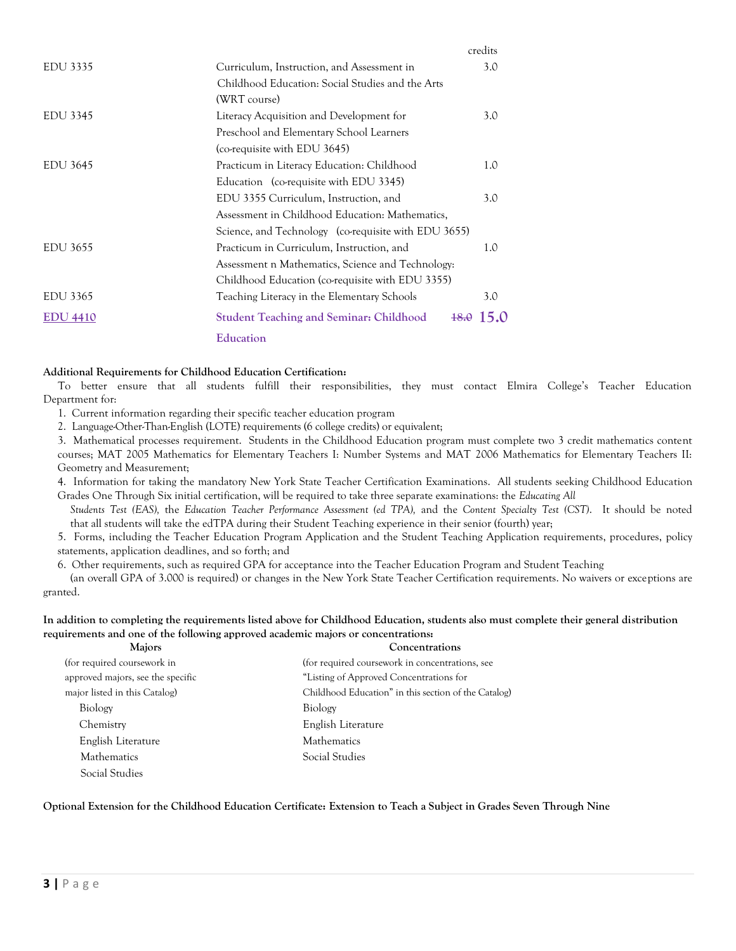|                 |                                                          | credits |
|-----------------|----------------------------------------------------------|---------|
| EDU 3335        | Curriculum, Instruction, and Assessment in               | 3.0     |
|                 | Childhood Education: Social Studies and the Arts         |         |
|                 | (WRT course)                                             |         |
| EDU 3345        | Literacy Acquisition and Development for                 | 3.0     |
|                 | Preschool and Elementary School Learners                 |         |
|                 | (co-requisite with EDU 3645)                             |         |
| EDU 3645        | Practicum in Literacy Education: Childhood               | 1.0     |
|                 | Education (co-requisite with EDU 3345)                   |         |
|                 | EDU 3355 Curriculum, Instruction, and                    | 3.0     |
|                 | Assessment in Childhood Education: Mathematics,          |         |
|                 | Science, and Technology (co-requisite with EDU 3655)     |         |
| EDU 3655        | Practicum in Curriculum, Instruction, and                | 1.0     |
|                 | Assessment n Mathematics, Science and Technology:        |         |
|                 | Childhood Education (co-requisite with EDU 3355)         |         |
| EDU 3365        | Teaching Literacy in the Elementary Schools              | 3.0     |
| <b>EDU 4410</b> | <b>Student Teaching and Seminar: Childhood</b><br>$+8.0$ | 15.0    |
|                 | Education                                                |         |

#### **Additional Requirements for Childhood Education Certification:**

To better ensure that all students fulfill their responsibilities, they must contact Elmira College's Teacher Education Department for:

1. Current information regarding their specific teacher education program

2. Language-Other-Than-English (LOTE) requirements (6 college credits) or equivalent;

3. Mathematical processes requirement. Students in the Childhood Education program must complete two 3 credit mathematics content courses; MAT 2005 Mathematics for Elementary Teachers I: Number Systems and MAT 2006 Mathematics for Elementary Teachers II: Geometry and Measurement;

4. Information for taking the mandatory New York State Teacher Certification Examinations. All students seeking Childhood Education Grades One Through Six initial certification, will be required to take three separate examinations: the *Educating All* 

*Students Test (EAS),* the *Education Teacher Performance Assessment (ed TPA),* and the *Content Specialty Test (CST)*. It should be noted that all students will take the edTPA during their Student Teaching experience in their senior (fourth) year;

5. Forms, including the Teacher Education Program Application and the Student Teaching Application requirements, procedures, policy statements, application deadlines, and so forth; and

6. Other requirements, such as required GPA for acceptance into the Teacher Education Program and Student Teaching

(an overall GPA of 3.000 is required) or changes in the New York State Teacher Certification requirements. No waivers or exceptions are granted.

#### **In addition to completing the requirements listed above for Childhood Education, students also must complete their general distribution requirements and one of the following approved academic majors or concentrations:**

| <b>Majors</b>                     | Concentrations                                       |
|-----------------------------------|------------------------------------------------------|
| (for required coursework in       | (for required coursework in concentrations, see      |
| approved majors, see the specific | "Listing of Approved Concentrations for              |
| major listed in this Catalog)     | Childhood Education" in this section of the Catalog) |
| Biology                           | Biology                                              |
| Chemistry                         | English Literature                                   |
| English Literature                | <b>Mathematics</b>                                   |
| <b>Mathematics</b>                | Social Studies                                       |
| Social Studies                    |                                                      |

#### **Optional Extension for the Childhood Education Certificate: Extension to Teach a Subject in Grades Seven Through Nine**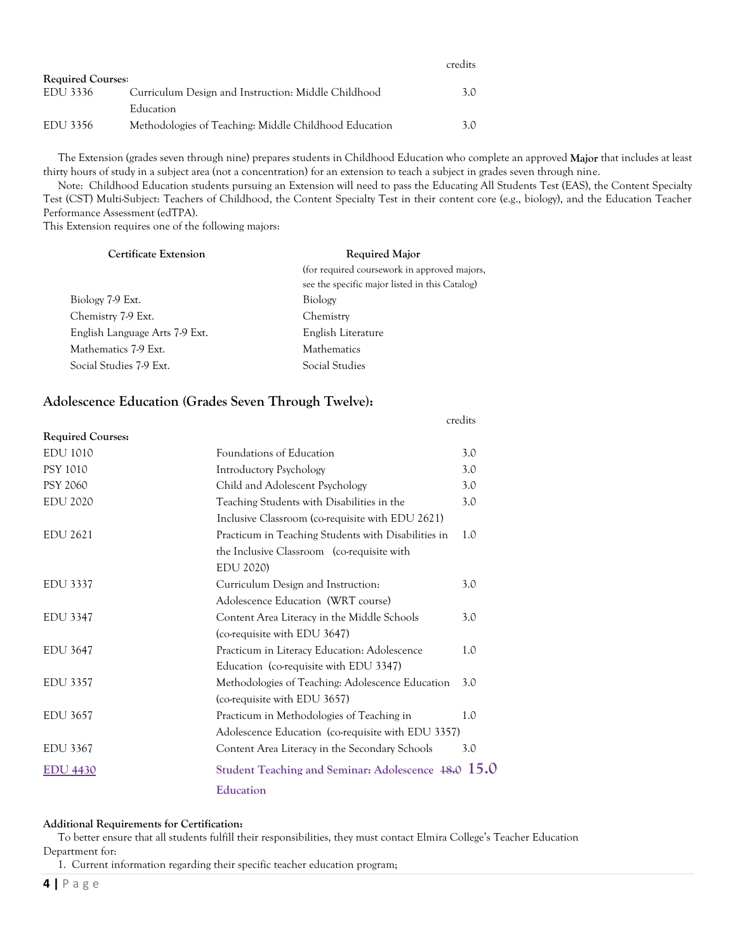|                          |                                                       | credits |
|--------------------------|-------------------------------------------------------|---------|
| <b>Required Courses:</b> |                                                       |         |
| EDU 3336                 | Curriculum Design and Instruction: Middle Childhood   | 3.0     |
|                          | Education                                             |         |
| EDU 3356                 | Methodologies of Teaching: Middle Childhood Education | 3 O     |

The Extension (grades seven through nine) prepares students in Childhood Education who complete an approved **Major** that includes at least thirty hours of study in a subject area (not a concentration) for an extension to teach a subject in grades seven through nine.

Note: Childhood Education students pursuing an Extension will need to pass the Educating All Students Test (EAS), the Content Specialty Test (CST) Multi-Subject: Teachers of Childhood, the Content Specialty Test in their content core (e.g., biology), and the Education Teacher Performance Assessment (edTPA).

credits

This Extension requires one of the following majors:

| <b>Certificate Extension</b>   | <b>Required Major</b>                          |  |
|--------------------------------|------------------------------------------------|--|
|                                | (for required coursework in approved majors,   |  |
|                                | see the specific major listed in this Catalog) |  |
| Biology 7-9 Ext.               | Biology                                        |  |
| Chemistry 7-9 Ext.             | Chemistry                                      |  |
| English Language Arts 7-9 Ext. | English Literature                             |  |
| Mathematics 7-9 Ext.           | <b>Mathematics</b>                             |  |
| Social Studies 7-9 Ext.        | Social Studies                                 |  |
|                                |                                                |  |

## **Adolescence Education (Grades Seven Through Twelve):**

| <b>Required Courses:</b> |                                                     |     |
|--------------------------|-----------------------------------------------------|-----|
| <b>EDU 1010</b>          | Foundations of Education                            | 3.0 |
| <b>PSY 1010</b>          | <b>Introductory Psychology</b>                      | 3.0 |
| <b>PSY 2060</b>          | Child and Adolescent Psychology                     | 3.0 |
| <b>EDU 2020</b>          | Teaching Students with Disabilities in the          | 3.0 |
|                          | Inclusive Classroom (co-requisite with EDU 2621)    |     |
| EDU 2621                 | Practicum in Teaching Students with Disabilities in | 1.0 |
|                          | the Inclusive Classroom (co-requisite with          |     |
|                          | EDU 2020)                                           |     |
| EDU 3337                 | Curriculum Design and Instruction:                  | 3.0 |
|                          | Adolescence Education (WRT course)                  |     |
| <b>EDU 3347</b>          | Content Area Literacy in the Middle Schools         | 3.0 |
|                          | (co-requisite with EDU 3647)                        |     |
| <b>EDU 3647</b>          | Practicum in Literacy Education: Adolescence        | 1.0 |
|                          | Education (co-requisite with EDU 3347)              |     |
| <b>EDU 3357</b>          | Methodologies of Teaching: Adolescence Education    | 3.0 |
|                          | (co-requisite with EDU 3657)                        |     |
| <b>EDU 3657</b>          | Practicum in Methodologies of Teaching in           | 1.0 |
|                          | Adolescence Education (co-requisite with EDU 3357)  |     |
| EDU 3367                 | Content Area Literacy in the Secondary Schools      | 3.0 |
| <b>EDU 4430</b>          | Student Teaching and Seminar: Adolescence 48.0 15.0 |     |
|                          | Education                                           |     |

#### **Additional Requirements for Certification:**

To better ensure that all students fulfill their responsibilities, they must contact Elmira College's Teacher Education Department for:

1. Current information regarding their specific teacher education program;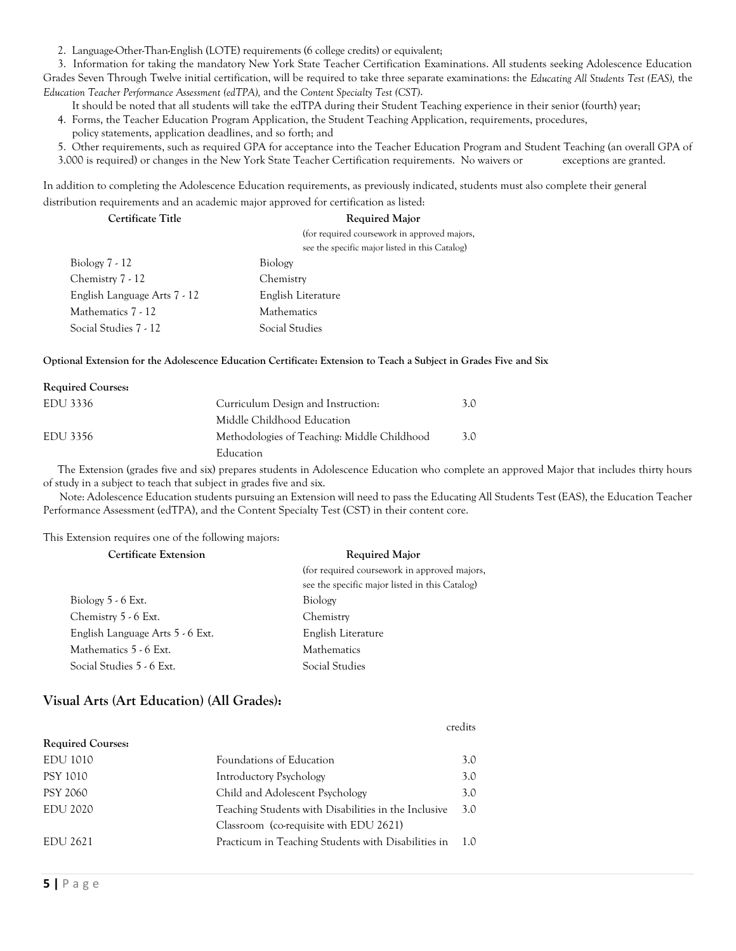2. Language-Other-Than-English (LOTE) requirements (6 college credits) or equivalent;

3. Information for taking the mandatory New York State Teacher Certification Examinations. All students seeking Adolescence Education Grades Seven Through Twelve initial certification, will be required to take three separate examinations: the *Educating All Students Test (EAS),* the *Education Teacher Performance Assessment (edTPA),* and the *Content Specialty Test (CST)*.

It should be noted that all students will take the edTPA during their Student Teaching experience in their senior (fourth) year;

- 4. Forms, the Teacher Education Program Application, the Student Teaching Application, requirements, procedures, policy statements, application deadlines, and so forth; and
- 5. Other requirements, such as required GPA for acceptance into the Teacher Education Program and Student Teaching (an overall GPA of
- 3.000 is required) or changes in the New York State Teacher Certification requirements. No waivers or exceptions are granted.

In addition to completing the Adolescence Education requirements, as previously indicated, students must also complete their general distribution requirements and an academic major approved for certification as listed:

| Certificate Title            | <b>Required Major</b>                          |
|------------------------------|------------------------------------------------|
|                              | (for required coursework in approved majors,   |
|                              | see the specific major listed in this Catalog) |
| Biology $7 - 12$             | Biology                                        |
| Chemistry 7 - 12             | Chemistry                                      |
| English Language Arts 7 - 12 | English Literature                             |
| Mathematics 7 - 12           | <b>Mathematics</b>                             |
| Social Studies 7 - 12        | Social Studies                                 |

**Optional Extension for the Adolescence Education Certificate: Extension to Teach a Subject in Grades Five and Six**

| <b>Required Courses:</b> |                                             |     |
|--------------------------|---------------------------------------------|-----|
| EDU 3336                 | Curriculum Design and Instruction:          | 3.0 |
|                          | Middle Childhood Education                  |     |
| EDU 3356                 | Methodologies of Teaching: Middle Childhood | 3.0 |
|                          | Education                                   |     |

The Extension (grades five and six) prepares students in Adolescence Education who complete an approved Major that includes thirty hours of study in a subject to teach that subject in grades five and six.

Note: Adolescence Education students pursuing an Extension will need to pass the Educating All Students Test (EAS), the Education Teacher Performance Assessment (edTPA), and the Content Specialty Test (CST) in their content core.

This Extension requires one of the following majors:

#### **Certificate Extension Required Major**

|                                  | (for required coursework in approved majors,<br>see the specific major listed in this Catalog) |
|----------------------------------|------------------------------------------------------------------------------------------------|
| Biology $5 - 6$ Ext.             | Biology                                                                                        |
| Chemistry 5 - 6 Ext.             | Chemistry                                                                                      |
| English Language Arts 5 - 6 Ext. | English Literature                                                                             |
| Mathematics 5 - 6 Ext.           | <b>Mathematics</b>                                                                             |
| Social Studies 5 - 6 Ext.        | Social Studies                                                                                 |

## **Visual Arts (Art Education) (All Grades):**

#### credits

| <b>Required Courses:</b> |                                                      |      |
|--------------------------|------------------------------------------------------|------|
| EDU 1010                 | Foundations of Education                             | 3.0  |
| PSY 1010                 | Introductory Psychology                              | 3.0  |
| <b>PSY 2060</b>          | Child and Adolescent Psychology                      | 3.0  |
| <b>EDU 2020</b>          | Teaching Students with Disabilities in the Inclusive | 3.0  |
|                          | Classroom (co-requisite with EDU 2621)               |      |
| EDU 2621                 | Practicum in Teaching Students with Disabilities in  | -1.0 |
|                          |                                                      |      |